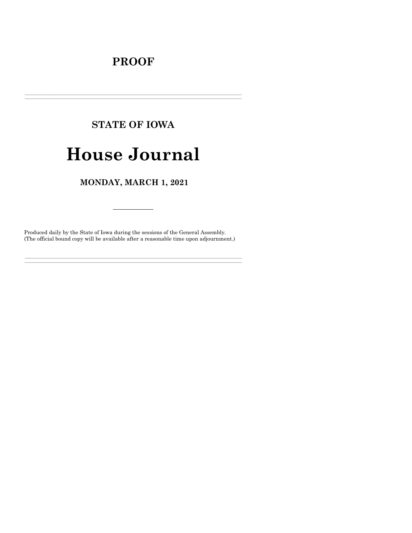## **PROOF**

# **STATE OF IOWA**

## **House Journal**

### MONDAY, MARCH 1, 2021

Produced daily by the State of Iowa during the sessions of the General Assembly. (The official bound copy will be available after a reasonable time upon adjournment.)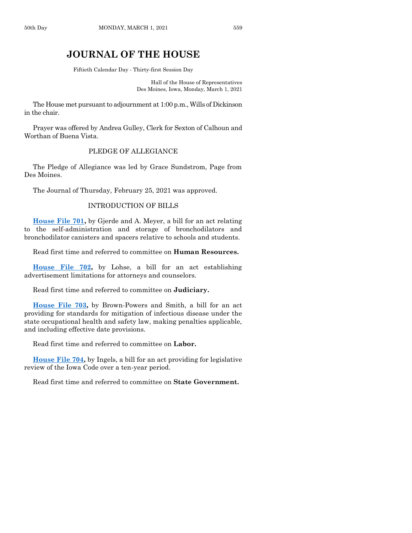## **JOURNAL OF THE HOUSE**

Fiftieth Calendar Day - Thirty-first Session Day

Hall of the House of Representatives Des Moines, Iowa, Monday, March 1, 2021

The House met pursuant to adjournment at 1:00 p.m., Wills of Dickinson in the chair.

Prayer was offered by Andrea Gulley, Clerk for Sexton of Calhoun and Worthan of Buena Vista.

#### PLEDGE OF ALLEGIANCE

The Pledge of Allegiance was led by Grace Sundstrom, Page from Des Moines.

The Journal of Thursday, February 25, 2021 was approved.

#### INTRODUCTION OF BILLS

**[House File 701,](https://www.legis.iowa.gov/legislation/BillBook?ga=89&ba=HF701)** by Gjerde and A. Meyer, a bill for an act relating to the self-administration and storage of bronchodilators and bronchodilator canisters and spacers relative to schools and students.

Read first time and referred to committee on **Human Resources.**

**House [File 702,](https://www.legis.iowa.gov/legislation/BillBook?ga=89&ba=HF702)** by Lohse, a bill for an act establishing advertisement limitations for attorneys and counselors.

Read first time and referred to committee on **Judiciary.**

**[House File 703,](https://www.legis.iowa.gov/legislation/BillBook?ga=89&ba=HF703)** by Brown-Powers and Smith, a bill for an act providing for standards for mitigation of infectious disease under the state occupational health and safety law, making penalties applicable, and including effective date provisions.

Read first time and referred to committee on **Labor.**

**[House File 704,](https://www.legis.iowa.gov/legislation/BillBook?ga=89&ba=HF704)** by Ingels, a bill for an act providing for legislative review of the Iowa Code over a ten-year period.

Read first time and referred to committee on **State Government.**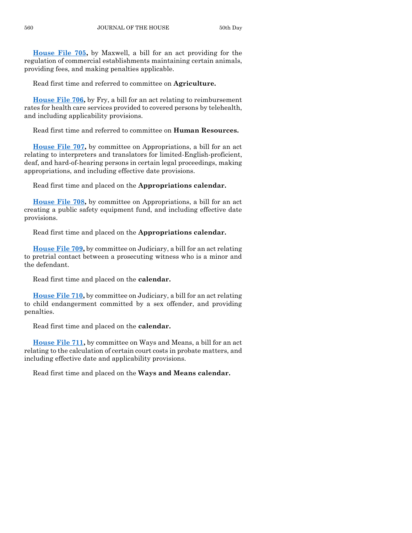**[House File 705,](https://www.legis.iowa.gov/legislation/BillBook?ga=89&ba=HF705)** by Maxwell, a bill for an act providing for the regulation of commercial establishments maintaining certain animals, providing fees, and making penalties applicable.

Read first time and referred to committee on **Agriculture.**

**[House File 706,](https://www.legis.iowa.gov/legislation/BillBook?ga=89&ba=HF706)** by Fry, a bill for an act relating to reimbursement rates for health care services provided to covered persons by telehealth, and including applicability provisions.

Read first time and referred to committee on **Human Resources.**

**[House File 707,](https://www.legis.iowa.gov/legislation/BillBook?ga=89&ba=HF707)** by committee on Appropriations, a bill for an act relating to interpreters and translators for limited-English-proficient, deaf, and hard-of-hearing persons in certain legal proceedings, making appropriations, and including effective date provisions.

Read first time and placed on the **Appropriations calendar.**

**[House File 708,](https://www.legis.iowa.gov/legislation/BillBook?ga=89&ba=HF708)** by committee on Appropriations, a bill for an act creating a public safety equipment fund, and including effective date provisions.

Read first time and placed on the **Appropriations calendar.**

**[House File 709,](https://www.legis.iowa.gov/legislation/BillBook?ga=89&ba=HF709)** by committee on Judiciary, a bill for an act relating to pretrial contact between a prosecuting witness who is a minor and the defendant.

Read first time and placed on the **calendar.**

**[House File 710,](https://www.legis.iowa.gov/legislation/BillBook?ga=89&ba=HF710)** by committee on Judiciary, a bill for an act relating to child endangerment committed by a sex offender, and providing penalties.

Read first time and placed on the **calendar.**

**[House File 711,](https://www.legis.iowa.gov/legislation/BillBook?ga=89&ba=HF711)** by committee on Ways and Means, a bill for an act relating to the calculation of certain court costs in probate matters, and including effective date and applicability provisions.

Read first time and placed on the **Ways and Means calendar.**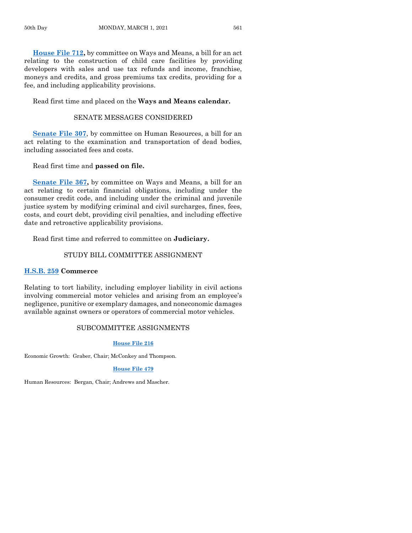**[House File 712,](https://www.legis.iowa.gov/legislation/BillBook?ga=89&ba=HF712)** by committee on Ways and Means, a bill for an act relating to the construction of child care facilities by providing developers with sales and use tax refunds and income, franchise, moneys and credits, and gross premiums tax credits, providing for a fee, and including applicability provisions.

Read first time and placed on the **Ways and Means calendar.**

#### SENATE MESSAGES CONSIDERED

**[Senate File 307](https://www.legis.iowa.gov/legislation/BillBook?ga=89&ba=SF307)**, by committee on Human Resources, a bill for an act relating to the examination and transportation of dead bodies, including associated fees and costs.

Read first time and **passed on file.**

**[Senate File 367,](https://www.legis.iowa.gov/legislation/BillBook?ga=89&ba=SF367)** by committee on Ways and Means, a bill for an act relating to certain financial obligations, including under the consumer credit code, and including under the criminal and juvenile justice system by modifying criminal and civil surcharges, fines, fees, costs, and court debt, providing civil penalties, and including effective date and retroactive applicability provisions.

Read first time and referred to committee on **Judiciary.**

#### STUDY BILL COMMITTEE ASSIGNMENT

#### **[H.S.B. 259](https://www.legis.iowa.gov/legislation/BillBook?ga=89&ba=HSB259) Commerce**

Relating to tort liability, including employer liability in civil actions involving commercial motor vehicles and arising from an employee's negligence, punitive or exemplary damages, and noneconomic damages available against owners or operators of commercial motor vehicles.

#### SUBCOMMITTEE ASSIGNMENTS

#### **[House File 216](https://www.legis.iowa.gov/legislation/BillBook?ga=89&ba=HF216)**

Economic Growth: Graber, Chair; McConkey and Thompson.

#### **[House File 479](https://www.legis.iowa.gov/legislation/BillBook?ga=89&ba=HF479)**

Human Resources: Bergan, Chair; Andrews and Mascher.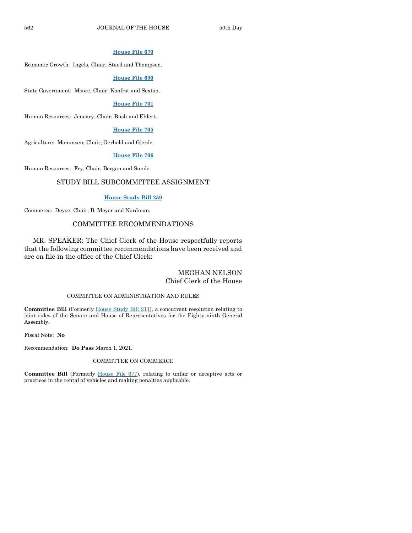#### **[House File 670](https://www.legis.iowa.gov/legislation/BillBook?ga=89&ba=HF670)**

Economic Growth: Ingels, Chair; Staed and Thompson.

#### **[House File 690](https://www.legis.iowa.gov/legislation/BillBook?ga=89&ba=HF690)**

State Government: Moore, Chair; Konfrst and Sexton.

#### **[House File 701](https://www.legis.iowa.gov/legislation/BillBook?ga=89&ba=HF701)**

Human Resources: Jeneary, Chair; Bush and Ehlert.

#### **[House File 705](https://www.legis.iowa.gov/legislation/BillBook?ga=89&ba=HF705)**

Agriculture: Mommsen, Chair; Gerhold and Gjerde.

#### **[House File 706](https://www.legis.iowa.gov/legislation/BillBook?ga=89&ba=HF706)**

Human Resources: Fry, Chair; Bergan and Sunde.

#### STUDY BILL SUBCOMMITTEE ASSIGNMENT

#### **[House Study Bill 259](https://www.legis.iowa.gov/legislation/BillBook?ga=89&ba=HSB259)**

Commerce: Deyoe, Chair; B. Meyer and Nordman.

#### COMMITTEE RECOMMENDATIONS

MR. SPEAKER: The Chief Clerk of the House respectfully reports that the following committee recommendations have been received and are on file in the office of the Chief Clerk:

#### MEGHAN NELSON Chief Clerk of the House

#### COMMITTEE ON ADMINISTRATION AND RULES

**Committee Bill** (Formerly [House Study Bill 211\)](https://www.legis.iowa.gov/legislation/BillBook?ga=89&ba=HSB211), a concurrent resolution relating to joint rules of the Senate and House of Representatives for the Eighty-ninth General Assembly.

Fiscal Note: **No**

Recommendation: **Do Pass** March 1, 2021.

#### COMMITTEE ON COMMERCE

**Committee Bill** (Formerly [House File 677\)](https://www.legis.iowa.gov/legislation/BillBook?ga=89&ba=HF677), relating to unfair or deceptive acts or practices in the rental of vehicles and making penalties applicable.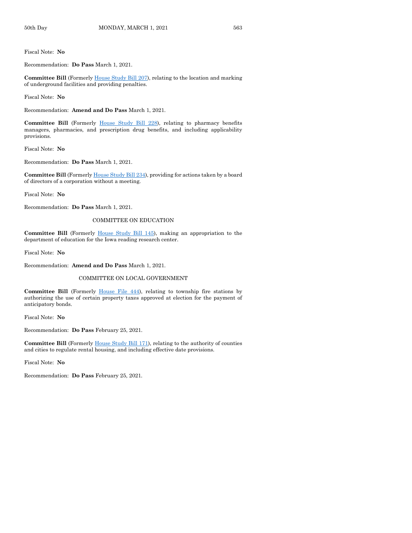Fiscal Note: **No**

Recommendation: **Do Pass** March 1, 2021.

**Committee Bill** (Formerl[y House Study Bill 207\)](https://www.legis.iowa.gov/legislation/BillBook?ga=89&ba=HSB207), relating to the location and marking of underground facilities and providing penalties.

Fiscal Note: **No**

Recommendation: **Amend and Do Pass** March 1, 2021.

**Committee Bill** (Formerly [House Study Bill 228\)](https://www.legis.iowa.gov/legislation/BillBook?ga=89&ba=HSB228), relating to pharmacy benefits managers, pharmacies, and prescription drug benefits, and including applicability provisions.

Fiscal Note: **No**

Recommendation: **Do Pass** March 1, 2021.

**Committee Bill** (Formerl[y House Study Bill 234\)](https://www.legis.iowa.gov/legislation/BillBook?ga=89&ba=HSB234), providing for actions taken by a board of directors of a corporation without a meeting.

Fiscal Note: **No**

Recommendation: **Do Pass** March 1, 2021.

#### COMMITTEE ON EDUCATION

**Committee Bill** (Formerly [House Study Bill 145\)](https://www.legis.iowa.gov/legislation/BillBook?ga=89&ba=HSB145), making an appropriation to the department of education for the Iowa reading research center.

Fiscal Note: **No**

Recommendation: **Amend and Do Pass** March 1, 2021.

#### COMMITTEE ON LOCAL GOVERNMENT

**Committee Bill** (Formerly [House File 444\)](https://www.legis.iowa.gov/legislation/BillBook?ga=89&ba=HF444), relating to township fire stations by authorizing the use of certain property taxes approved at election for the payment of anticipatory bonds.

Fiscal Note: **No**

Recommendation: **Do Pass** February 25, 2021.

**Committee Bill** (Formerly [House Study Bill 171\)](https://www.legis.iowa.gov/legislation/BillBook?ga=89&ba=HSB171), relating to the authority of counties and cities to regulate rental housing, and including effective date provisions.

Fiscal Note: **No**

Recommendation: **Do Pass** February 25, 2021.